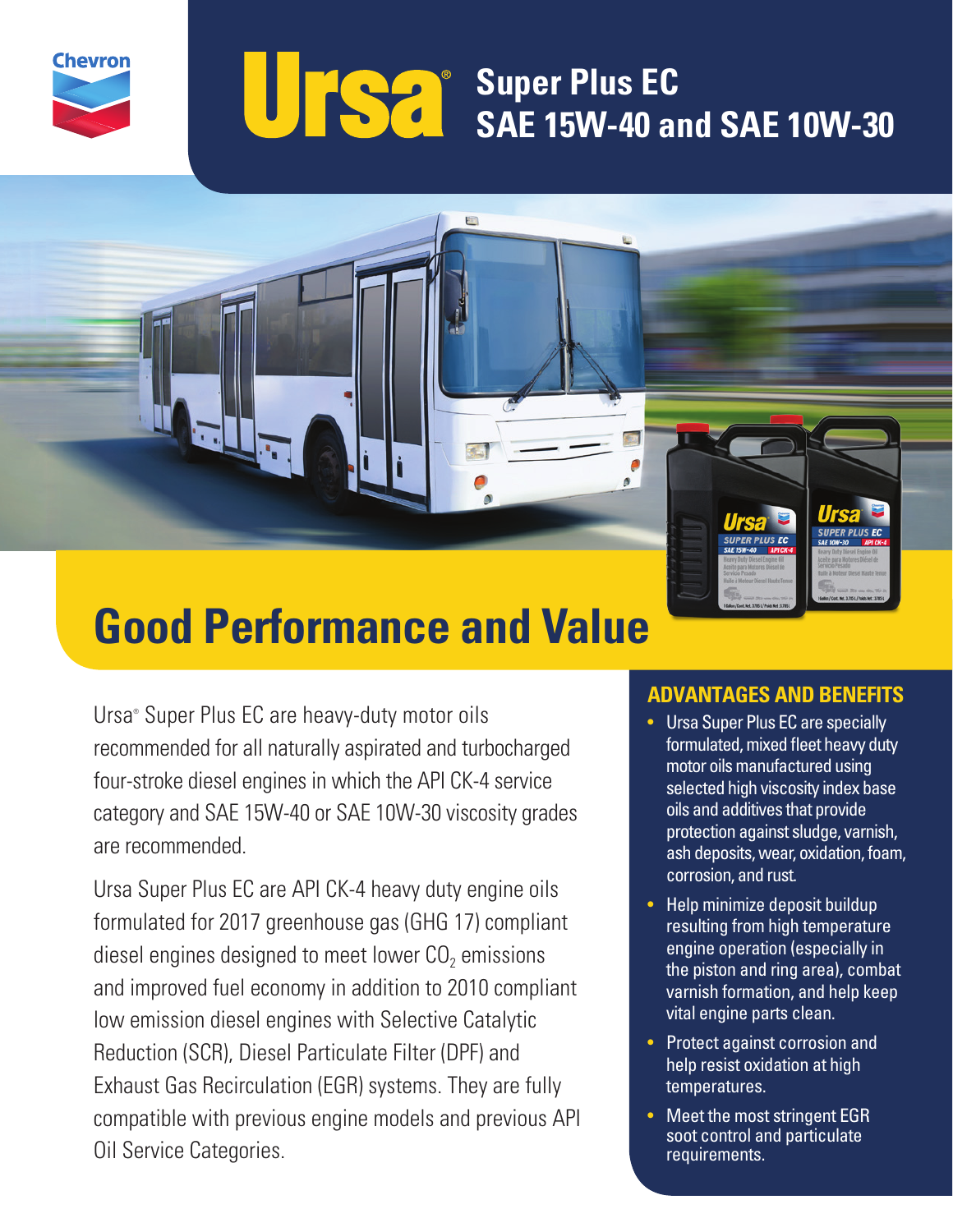

## **Super Plus EC Super Plus EC SAE 15W-40 and SAE 10W-30**

# **Good Performance and Value**

Ursa® Super Plus EC are heavy-duty motor oils recommended for all naturally aspirated and turbocharged four-stroke diesel engines in which the API CK-4 service category and SAE 15W-40 or SAE 10W-30 viscosity grades are recommended.

Ursa Super Plus EC are API CK-4 heavy duty engine oils formulated for 2017 greenhouse gas (GHG 17) compliant diesel engines designed to meet lower  $CO<sub>2</sub>$  emissions and improved fuel economy in addition to 2010 compliant low emission diesel engines with Selective Catalytic Reduction (SCR), Diesel Particulate Filter (DPF) and Exhaust Gas Recirculation (EGR) systems. They are fully compatible with previous engine models and previous API Oil Service Categories.

### **ADVANTAGES AND BENEFITS**

- Ursa Super Plus EC are specially formulated, mixed fleet heavy duty motor oils manufactured using selected high viscosity index base oils and additives that provide protection against sludge, varnish, ash deposits, wear, oxidation, foam, corrosion, and rust.
- Help minimize deposit buildup resulting from high temperature engine operation (especially in the piston and ring area), combat varnish formation, and help keep vital engine parts clean.
- Protect against corrosion and help resist oxidation at high temperatures.
- Meet the most stringent EGR soot control and particulate requirements.